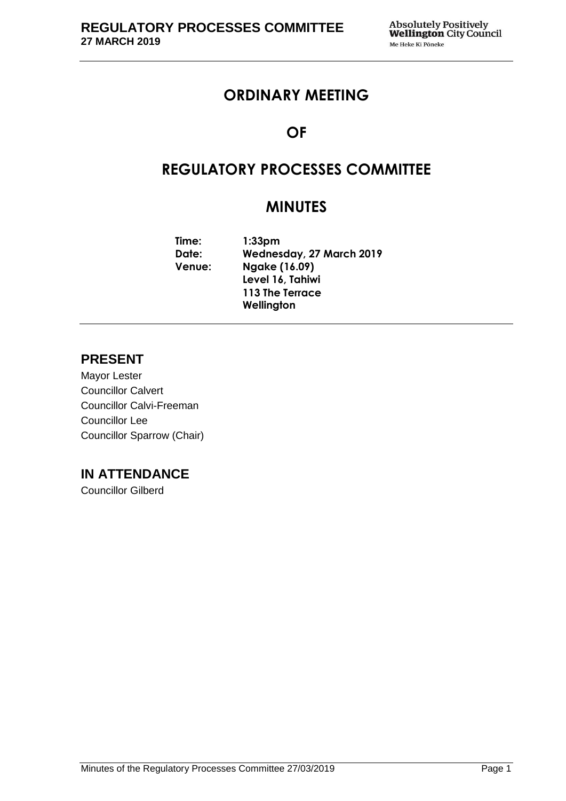## **ORDINARY MEETING**

# **OF**

# **REGULATORY PROCESSES COMMITTEE**

# **MINUTES**

**Time: 1:33pm Date: Wednesday, 27 March 2019 Venue: Ngake (16.09) Level 16, Tahiwi 113 The Terrace Wellington**

## **PRESENT**

Mayor Lester Councillor Calvert Councillor Calvi-Freeman Councillor Lee Councillor Sparrow (Chair)

## **IN ATTENDANCE**

Councillor Gilberd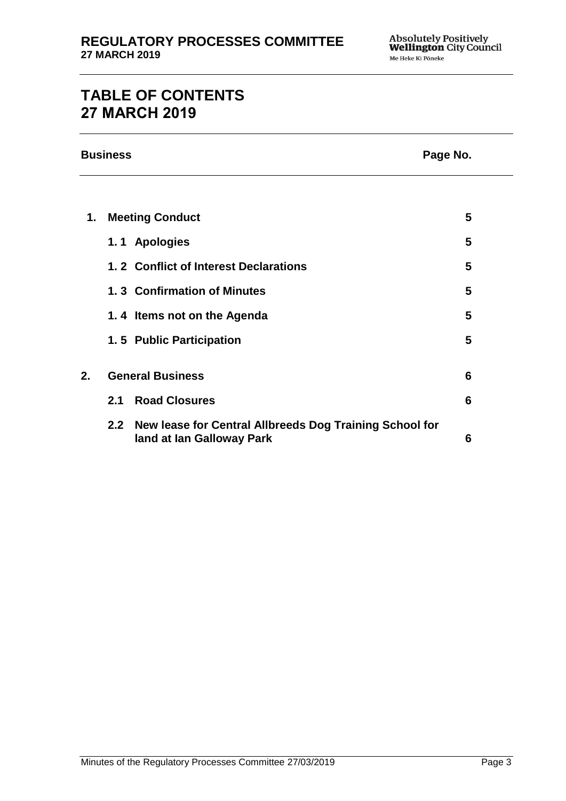# **TABLE OF CONTENTS 27 MARCH 2019**

|    | <b>Business</b><br>Page No. |                                                                                      |   |
|----|-----------------------------|--------------------------------------------------------------------------------------|---|
|    |                             |                                                                                      |   |
| 1. | <b>Meeting Conduct</b>      |                                                                                      | 5 |
|    |                             | 1.1 Apologies                                                                        | 5 |
|    |                             | 1.2 Conflict of Interest Declarations                                                | 5 |
|    |                             | 1.3 Confirmation of Minutes                                                          | 5 |
|    |                             | 1.4 Items not on the Agenda                                                          | 5 |
|    |                             | 1.5 Public Participation                                                             | 5 |
|    |                             |                                                                                      |   |
| 2. | <b>General Business</b>     |                                                                                      | 6 |
|    | 2.1                         | <b>Road Closures</b>                                                                 | 6 |
|    | 2.2                         | New lease for Central Allbreeds Dog Training School for<br>land at lan Galloway Park | 6 |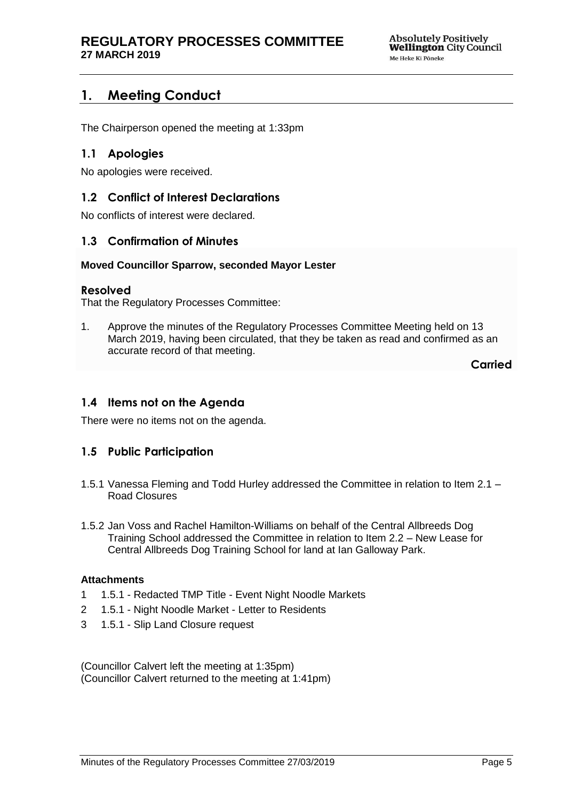## <span id="page-4-0"></span>**1. Meeting Conduct**

The Chairperson opened the meeting at 1:33pm

## <span id="page-4-1"></span>**1.1 Apologies**

No apologies were received.

## <span id="page-4-2"></span>**1.2 Conflict of Interest Declarations**

No conflicts of interest were declared.

## <span id="page-4-3"></span>**1.3 Confirmation of Minutes**

#### **Moved Councillor Sparrow, seconded Mayor Lester**

#### **Resolved**

That the Regulatory Processes Committee:

1. Approve the minutes of the Regulatory Processes Committee Meeting held on 13 March 2019, having been circulated, that they be taken as read and confirmed as an accurate record of that meeting.

**Carried**

## <span id="page-4-4"></span>**1.4 Items not on the Agenda**

There were no items not on the agenda.

## **1.5 Public Participation**

- 1.5.1 Vanessa Fleming and Todd Hurley addressed the Committee in relation to Item 2.1 Road Closures
- 1.5.2 Jan Voss and Rachel Hamilton-Williams on behalf of the Central Allbreeds Dog Training School addressed the Committee in relation to Item 2.2 – New Lease for Central Allbreeds Dog Training School for land at Ian Galloway Park.

#### **Attachments**

- 1 1.5.1 Redacted TMP Title Event Night Noodle Markets
- 2 1.5.1 Night Noodle Market Letter to Residents
- 3 1.5.1 Slip Land Closure request

(Councillor Calvert left the meeting at 1:35pm) (Councillor Calvert returned to the meeting at 1:41pm)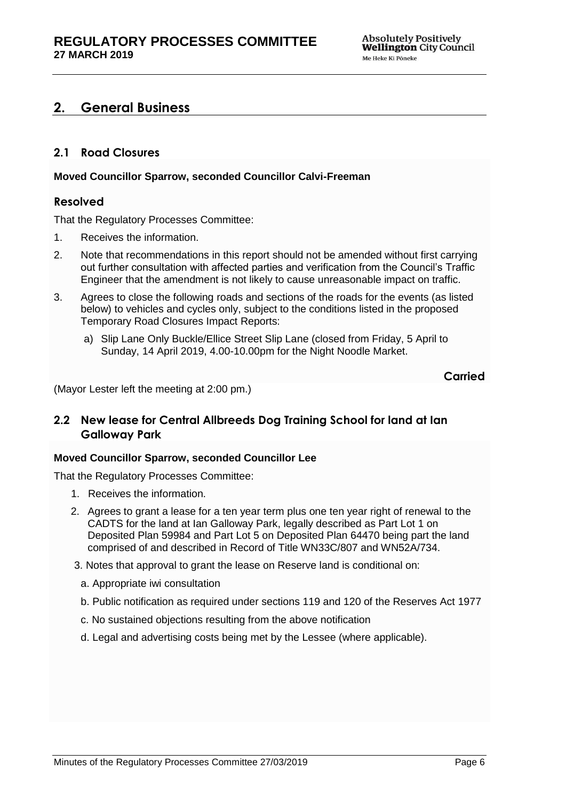## <span id="page-5-0"></span>**2. General Business**

## <span id="page-5-1"></span>**2.1 Road Closures**

#### **Moved Councillor Sparrow, seconded Councillor Calvi-Freeman**

#### **Resolved**

That the Regulatory Processes Committee:

- 1. Receives the information.
- 2. Note that recommendations in this report should not be amended without first carrying out further consultation with affected parties and verification from the Council's Traffic Engineer that the amendment is not likely to cause unreasonable impact on traffic.
- 3. Agrees to close the following roads and sections of the roads for the events (as listed below) to vehicles and cycles only, subject to the conditions listed in the proposed Temporary Road Closures Impact Reports:
	- a) Slip Lane Only Buckle/Ellice Street Slip Lane (closed from Friday, 5 April to Sunday, 14 April 2019, 4.00-10.00pm for the Night Noodle Market.

```
Carried
```
(Mayor Lester left the meeting at 2:00 pm.)

## <span id="page-5-2"></span>**2.2 New lease for Central Allbreeds Dog Training School for land at Ian Galloway Park**

#### **Moved Councillor Sparrow, seconded Councillor Lee**

That the Regulatory Processes Committee:

- 1. Receives the information.
- 2. Agrees to grant a lease for a ten year term plus one ten year right of renewal to the CADTS for the land at Ian Galloway Park, legally described as Part Lot 1 on Deposited Plan 59984 and Part Lot 5 on Deposited Plan 64470 being part the land comprised of and described in Record of Title WN33C/807 and WN52A/734.
- 3. Notes that approval to grant the lease on Reserve land is conditional on:
	- a. Appropriate iwi consultation
	- b. Public notification as required under sections 119 and 120 of the Reserves Act 1977
	- c. No sustained objections resulting from the above notification
	- d. Legal and advertising costs being met by the Lessee (where applicable).